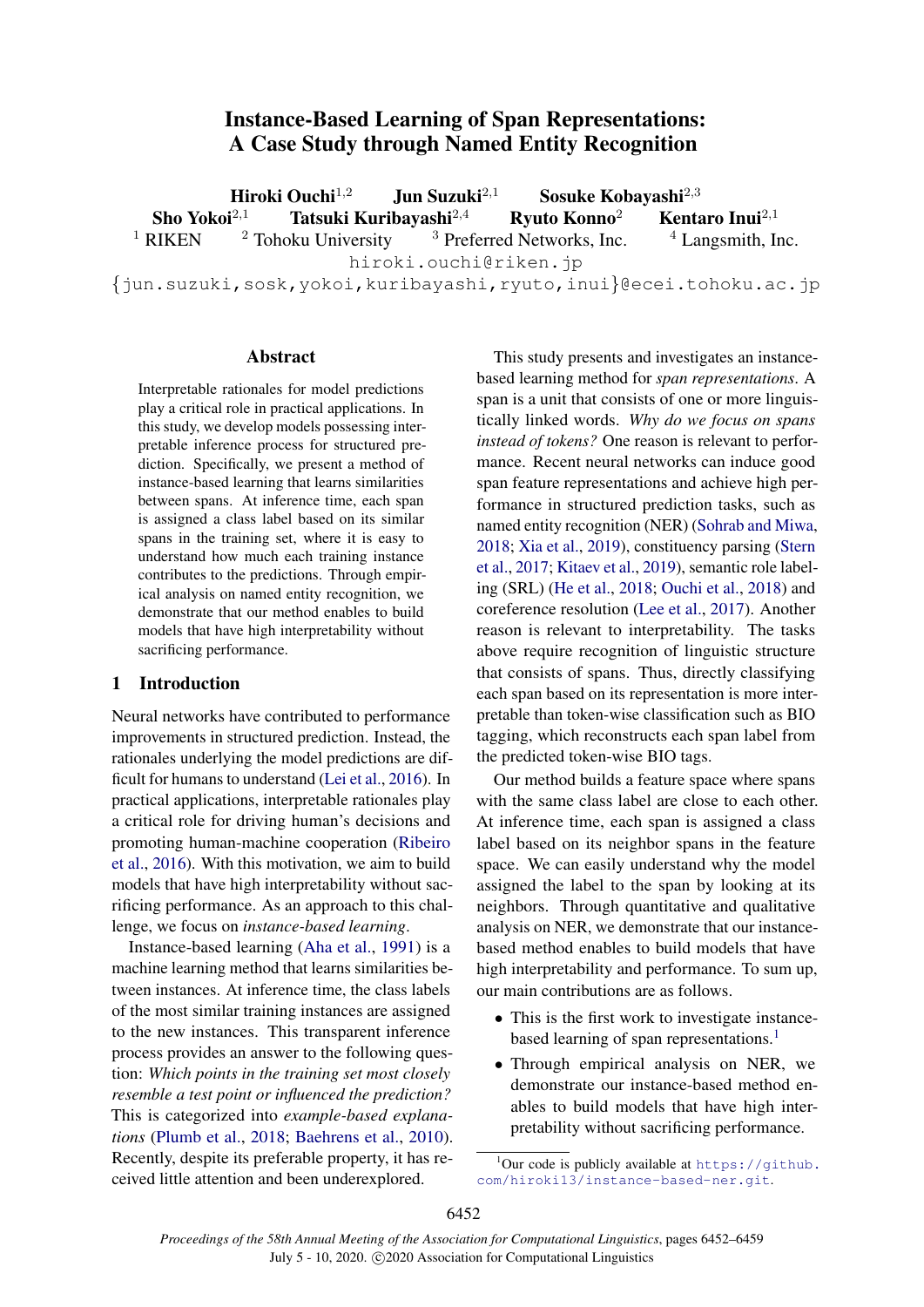# Instance-Based Learning of Span Representations: A Case Study through Named Entity Recognition

**Hiroki Ouchi**<sup>1,2</sup> Jun Suzuki<sup>2,1</sup> Sosuke Kobayashi<sup>2,3</sup><br>Sho Yokoi<sup>2,1</sup> Tatsuki Kuribayashi<sup>2,4</sup> Ryuto Konno<sup>2</sup> Kenta Tatsuki Kuribayashi<sup>2,4</sup> Ryuto Konno<sup>2</sup> Kentaro Inui<sup>2,1</sup> <sup>1</sup> RIKEN <sup>2</sup> Tohoku University <sup>3</sup> Preferred Networks, Inc.  $4$  Langsmith, Inc. hiroki.ouchi@riken.jp {jun.suzuki,sosk,yokoi,kuribayashi,ryuto,inui}@ecei.tohoku.ac.jp

# Abstract

Interpretable rationales for model predictions play a critical role in practical applications. In this study, we develop models possessing interpretable inference process for structured prediction. Specifically, we present a method of instance-based learning that learns similarities between spans. At inference time, each span is assigned a class label based on its similar spans in the training set, where it is easy to understand how much each training instance contributes to the predictions. Through empirical analysis on named entity recognition, we demonstrate that our method enables to build models that have high interpretability without sacrificing performance.

# 1 Introduction

Neural networks have contributed to performance improvements in structured prediction. Instead, the rationales underlying the model predictions are difficult for humans to understand [\(Lei et al.,](#page-5-0) [2016\)](#page-5-0). In practical applications, interpretable rationales play a critical role for driving human's decisions and promoting human-machine cooperation [\(Ribeiro](#page-6-0) [et al.,](#page-6-0) [2016\)](#page-6-0). With this motivation, we aim to build models that have high interpretability without sacrificing performance. As an approach to this challenge, we focus on *instance-based learning*.

Instance-based learning [\(Aha et al.,](#page-5-1) [1991\)](#page-5-1) is a machine learning method that learns similarities between instances. At inference time, the class labels of the most similar training instances are assigned to the new instances. This transparent inference process provides an answer to the following question: *Which points in the training set most closely resemble a test point or influenced the prediction?* This is categorized into *example-based explanations* [\(Plumb et al.,](#page-6-1) [2018;](#page-6-1) [Baehrens et al.,](#page-5-2) [2010\)](#page-5-2). Recently, despite its preferable property, it has received little attention and been underexplored.

This study presents and investigates an instancebased learning method for *span representations*. A span is a unit that consists of one or more linguistically linked words. *Why do we focus on spans instead of tokens?* One reason is relevant to performance. Recent neural networks can induce good span feature representations and achieve high performance in structured prediction tasks, such as named entity recognition (NER) [\(Sohrab and Miwa,](#page-6-2) [2018;](#page-6-2) [Xia et al.,](#page-6-3) [2019\)](#page-6-3), constituency parsing [\(Stern](#page-6-4) [et al.,](#page-6-4) [2017;](#page-6-4) [Kitaev et al.,](#page-5-3) [2019\)](#page-5-3), semantic role labeling (SRL) [\(He et al.,](#page-5-4) [2018;](#page-5-4) [Ouchi et al.,](#page-6-5) [2018\)](#page-6-5) and coreference resolution [\(Lee et al.,](#page-5-5) [2017\)](#page-5-5). Another reason is relevant to interpretability. The tasks above require recognition of linguistic structure that consists of spans. Thus, directly classifying each span based on its representation is more interpretable than token-wise classification such as BIO tagging, which reconstructs each span label from the predicted token-wise BIO tags.

Our method builds a feature space where spans with the same class label are close to each other. At inference time, each span is assigned a class label based on its neighbor spans in the feature space. We can easily understand why the model assigned the label to the span by looking at its neighbors. Through quantitative and qualitative analysis on NER, we demonstrate that our instancebased method enables to build models that have high interpretability and performance. To sum up, our main contributions are as follows.

- This is the first work to investigate instance-based learning of span representations.<sup>[1](#page-0-0)</sup>
- Through empirical analysis on NER, we demonstrate our instance-based method enables to build models that have high interpretability without sacrificing performance.

<span id="page-0-0"></span> $1$ Our code is publicly available at [https://github.](https://github.com/hiroki13/instance-based-ner.git) [com/hiroki13/instance-based-ner.git](https://github.com/hiroki13/instance-based-ner.git).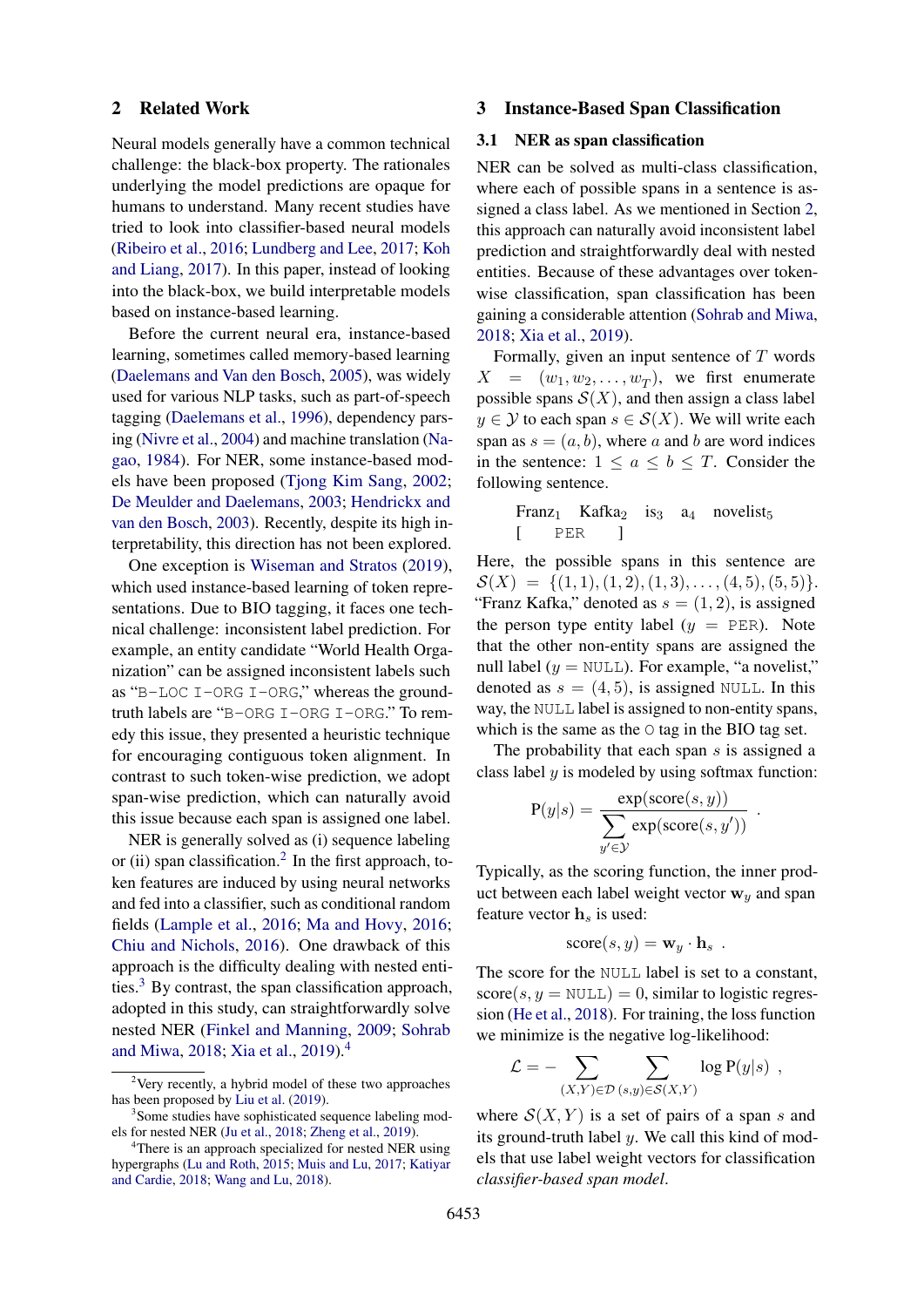#### <span id="page-1-3"></span>2 Related Work

Neural models generally have a common technical challenge: the black-box property. The rationales underlying the model predictions are opaque for humans to understand. Many recent studies have tried to look into classifier-based neural models [\(Ribeiro et al.,](#page-6-0) [2016;](#page-6-0) [Lundberg and Lee,](#page-5-6) [2017;](#page-5-6) [Koh](#page-5-7) [and Liang,](#page-5-7) [2017\)](#page-5-7). In this paper, instead of looking into the black-box, we build interpretable models based on instance-based learning.

Before the current neural era, instance-based learning, sometimes called memory-based learning [\(Daelemans and Van den Bosch,](#page-5-8) [2005\)](#page-5-8), was widely used for various NLP tasks, such as part-of-speech tagging [\(Daelemans et al.,](#page-5-9) [1996\)](#page-5-9), dependency parsing [\(Nivre et al.,](#page-6-6) [2004\)](#page-6-6) and machine translation [\(Na](#page-6-7)[gao,](#page-6-7) [1984\)](#page-6-7). For NER, some instance-based models have been proposed [\(Tjong Kim Sang,](#page-6-8) [2002;](#page-6-8) [De Meulder and Daelemans,](#page-5-10) [2003;](#page-5-10) [Hendrickx and](#page-5-11) [van den Bosch,](#page-5-11) [2003\)](#page-5-11). Recently, despite its high interpretability, this direction has not been explored.

One exception is [Wiseman and Stratos](#page-6-9) [\(2019\)](#page-6-9), which used instance-based learning of token representations. Due to BIO tagging, it faces one technical challenge: inconsistent label prediction. For example, an entity candidate "World Health Organization" can be assigned inconsistent labels such as "B-LOC I-ORG I-ORG," whereas the groundtruth labels are "B-ORG I-ORG I-ORG." To remedy this issue, they presented a heuristic technique for encouraging contiguous token alignment. In contrast to such token-wise prediction, we adopt span-wise prediction, which can naturally avoid this issue because each span is assigned one label.

NER is generally solved as (i) sequence labeling or (ii) span classification.<sup>[2](#page-1-0)</sup> In the first approach, token features are induced by using neural networks and fed into a classifier, such as conditional random fields [\(Lample et al.,](#page-5-12) [2016;](#page-5-12) [Ma and Hovy,](#page-5-13) [2016;](#page-5-13) [Chiu and Nichols,](#page-5-14) [2016\)](#page-5-14). One drawback of this approach is the difficulty dealing with nested entities.[3](#page-1-1) By contrast, the span classification approach, adopted in this study, can straightforwardly solve nested NER [\(Finkel and Manning,](#page-5-15) [2009;](#page-5-15) [Sohrab](#page-6-2) [and Miwa,](#page-6-2) [2018;](#page-6-2) [Xia et al.,](#page-6-3) [2019\)](#page-6-3).[4](#page-1-2)

# 3 Instance-Based Span Classification

# <span id="page-1-5"></span>3.1 NER as span classification

NER can be solved as multi-class classification, where each of possible spans in a sentence is assigned a class label. As we mentioned in Section [2,](#page-1-3) this approach can naturally avoid inconsistent label prediction and straightforwardly deal with nested entities. Because of these advantages over tokenwise classification, span classification has been gaining a considerable attention [\(Sohrab and Miwa,](#page-6-2) [2018;](#page-6-2) [Xia et al.,](#page-6-3) [2019\)](#page-6-3).

Formally, given an input sentence of  $T$  words  $X = (w_1, w_2, \dots, w_T)$ , we first enumerate possible spans  $S(X)$ , and then assign a class label  $y \in Y$  to each span  $s \in S(X)$ . We will write each span as  $s = (a, b)$ , where a and b are word indices in the sentence:  $1 \le a \le b \le T$ . Consider the following sentence.

\n
$$
\text{Franz}_1 \quad \text{Kafka}_2 \quad \text{is}_3 \quad \text{a}_4 \quad \text{novelist}_5
$$
\n

\n\n $\begin{bmatrix}\n & \text{PER} \\
& \text{PER}\n \end{bmatrix}$ \n

Here, the possible spans in this sentence are  $\mathcal{S}(X) = \{(1, 1), (1, 2), (1, 3), \ldots, (4, 5), (5, 5)\}.$ "Franz Kafka," denoted as  $s = (1, 2)$ , is assigned the person type entity label  $(y = PER)$ . Note that the other non-entity spans are assigned the null label ( $y = NULL$ ). For example, "a novelist," denoted as  $s = (4, 5)$ , is assigned NULL. In this way, the NULL label is assigned to non-entity spans, which is the same as the O tag in the BIO tag set.

The probability that each span  $s$  is assigned a class label  $y$  is modeled by using softmax function:

<span id="page-1-4"></span>.

$$
P(y|s) = \frac{\exp(\text{score}(s, y))}{\sum_{y' \in \mathcal{Y}} \exp(\text{score}(s, y'))}
$$

Typically, as the scoring function, the inner product between each label weight vector  $w_y$  and span feature vector  $\mathbf{h}_s$  is used:

$$
score(s, y) = \mathbf{w}_y \cdot \mathbf{h}_s.
$$

The score for the NULL label is set to a constant,  $score(s, y = NULL) = 0$ , similar to logistic regression [\(He et al.,](#page-5-4) [2018\)](#page-5-4). For training, the loss function we minimize is the negative log-likelihood:

$$
\mathcal{L} = - \sum_{(X,Y)\in\mathcal{D}} \sum_{(s,y)\in\mathcal{S}(X,Y)} \log P(y|s) ,
$$

where  $S(X, Y)$  is a set of pairs of a span s and its ground-truth label  $y$ . We call this kind of models that use label weight vectors for classification *classifier-based span model*.

<span id="page-1-0"></span> $2$ Very recently, a hybrid model of these two approaches has been proposed by [Liu et al.](#page-5-16) [\(2019\)](#page-5-16).

<span id="page-1-1"></span><sup>&</sup>lt;sup>3</sup>Some studies have sophisticated sequence labeling models for nested NER [\(Ju et al.,](#page-5-17) [2018;](#page-5-17) [Zheng et al.,](#page-6-10) [2019\)](#page-6-10).

<span id="page-1-2"></span><sup>&</sup>lt;sup>4</sup>There is an approach specialized for nested NER using hypergraphs [\(Lu and Roth,](#page-5-18) [2015;](#page-5-18) [Muis and Lu,](#page-5-19) [2017;](#page-5-19) [Katiyar](#page-5-20) [and Cardie,](#page-5-20) [2018;](#page-5-20) [Wang and Lu,](#page-6-11) [2018\)](#page-6-11).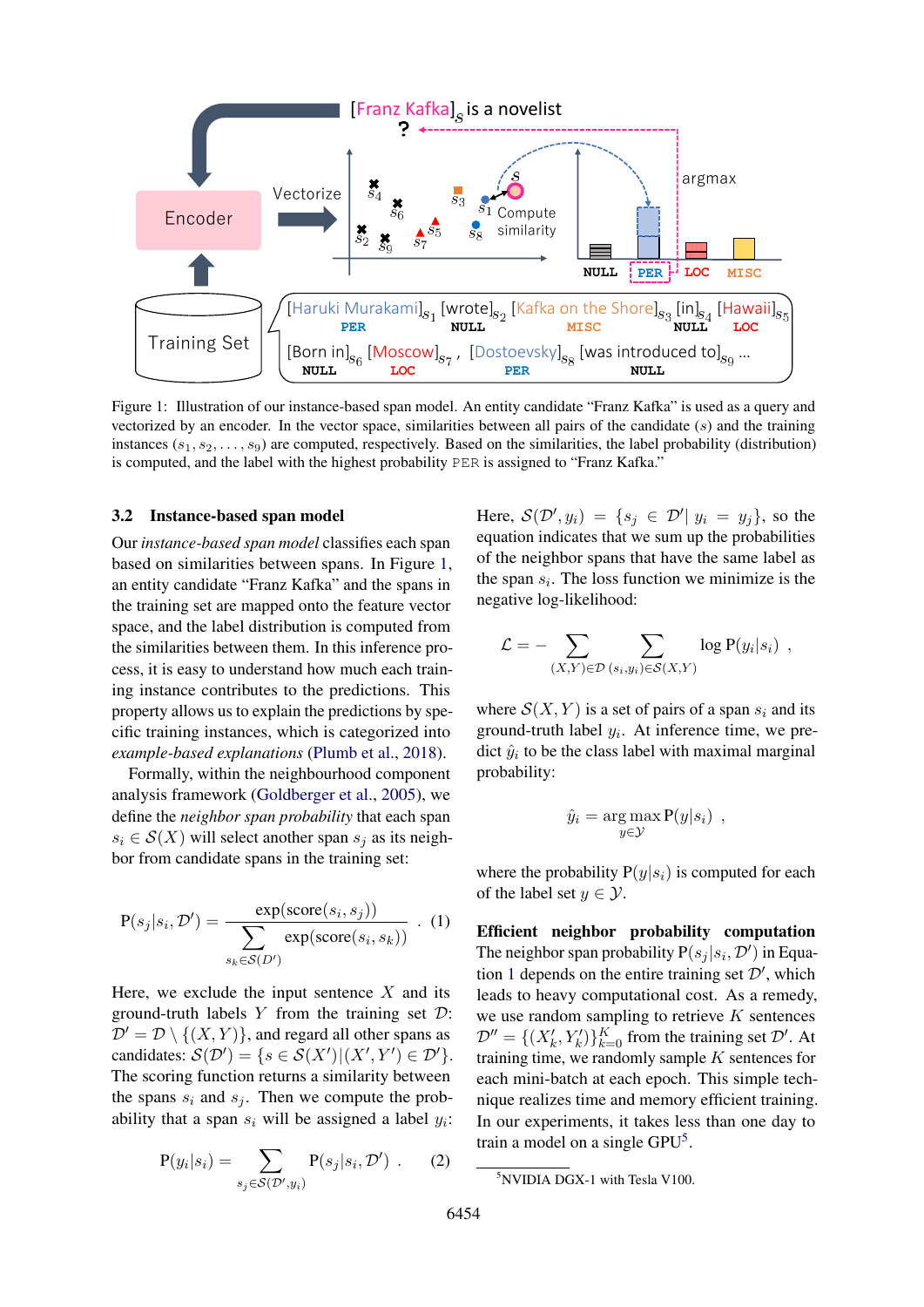<span id="page-2-0"></span>

Figure 1: Illustration of our instance-based span model. An entity candidate "Franz Kafka" is used as a query and vectorized by an encoder. In the vector space, similarities between all pairs of the candidate (s) and the training instances  $(s_1, s_2, \ldots, s_9)$  are computed, respectively. Based on the similarities, the label probability (distribution) is computed, and the label with the highest probability PER is assigned to "Franz Kafka."

#### 3.2 Instance-based span model

Our *instance-based span model* classifies each span based on similarities between spans. In Figure [1,](#page-2-0) an entity candidate "Franz Kafka" and the spans in the training set are mapped onto the feature vector space, and the label distribution is computed from the similarities between them. In this inference process, it is easy to understand how much each training instance contributes to the predictions. This property allows us to explain the predictions by specific training instances, which is categorized into *example-based explanations* [\(Plumb et al.,](#page-6-1) [2018\)](#page-6-1).

Formally, within the neighbourhood component analysis framework [\(Goldberger et al.,](#page-5-21) [2005\)](#page-5-21), we define the *neighbor span probability* that each span  $s_i \in \mathcal{S}(X)$  will select another span  $s_j$  as its neighbor from candidate spans in the training set:

$$
P(s_j|s_i, \mathcal{D}') = \frac{\exp(\text{score}(s_i, s_j))}{\sum_{s_k \in \mathcal{S}(D')} \exp(\text{score}(s_i, s_k))} \quad (1)
$$

Here, we exclude the input sentence  $X$  and its ground-truth labels  $Y$  from the training set  $D$ :  $\mathcal{D}' = \mathcal{D} \setminus \{(X, Y)\}\$ , and regard all other spans as candidates:  $\mathcal{S}(\mathcal{D}') = \{ s \in \mathcal{S}(X') | (X', Y') \in \mathcal{D}' \}.$ The scoring function returns a similarity between the spans  $s_i$  and  $s_j$ . Then we compute the probability that a span  $s_i$  will be assigned a label  $y_i$ :

$$
P(y_i|s_i) = \sum_{s_j \in S(\mathcal{D}', y_i)} P(s_j|s_i, \mathcal{D}') . \qquad (2)
$$

Here,  $S(\mathcal{D}', y_i) = \{s_j \in \mathcal{D}' \mid y_i = y_j\}$ , so the equation indicates that we sum up the probabilities of the neighbor spans that have the same label as the span  $s_i$ . The loss function we minimize is the negative log-likelihood:

$$
\mathcal{L} = - \sum_{(X,Y)\in\mathcal{D}} \sum_{(s_i,y_i)\in\mathcal{S}(X,Y)} \log P(y_i|s_i) ,
$$

where  $S(X, Y)$  is a set of pairs of a span  $s_i$  and its ground-truth label  $y_i$ . At inference time, we predict  $\hat{y}_i$  to be the class label with maximal marginal probability:

$$
\hat{y}_i = \underset{y \in \mathcal{Y}}{\arg \max} P(y|s_i) ,
$$

where the probability  $P(y|s_i)$  is computed for each of the label set  $y \in \mathcal{Y}$ .

Efficient neighbor probability computation The neighbor span probability  $P(s_j | s_i, \mathcal{D}')$  in Equa-tion [1](#page-1-4) depends on the entire training set  $\mathcal{D}'$ , which leads to heavy computational cost. As a remedy, we use random sampling to retrieve  $K$  sentences  $\mathcal{D}'' = \{(X'_k, Y'_k)\}_{k=0}^K$  from the training set  $\mathcal{D}'$ . At training time, we randomly sample  $K$  sentences for each mini-batch at each epoch. This simple technique realizes time and memory efficient training. In our experiments, it takes less than one day to train a model on a single GPU<sup>[5](#page-2-1)</sup>.

<span id="page-2-1"></span><sup>5</sup>NVIDIA DGX-1 with Tesla V100.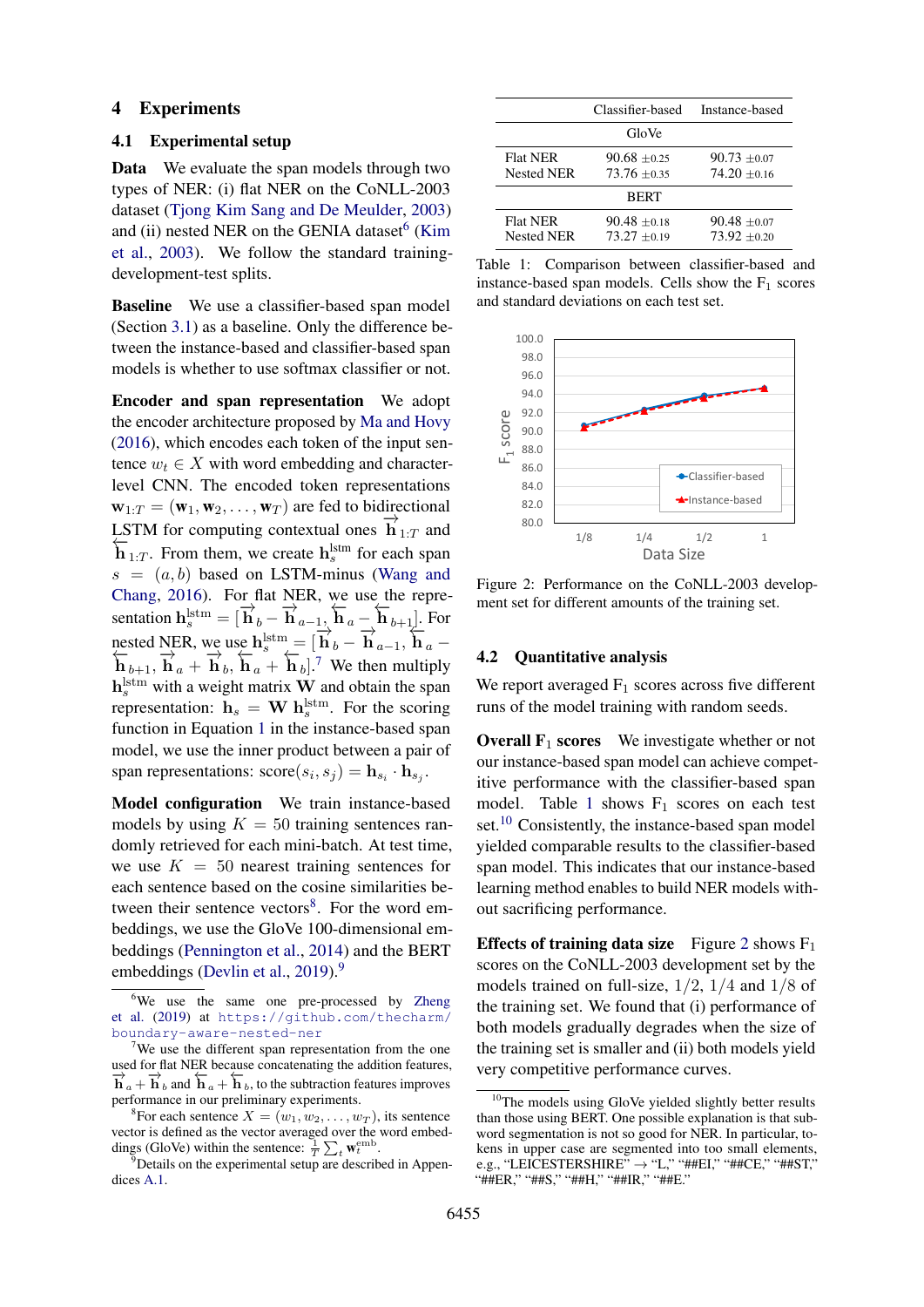#### 4 Experiments

#### 4.1 Experimental setup

Data We evaluate the span models through two types of NER: (i) flat NER on the CoNLL-2003 dataset [\(Tjong Kim Sang and De Meulder,](#page-6-12) [2003\)](#page-6-12) and (ii) nested NER on the GENIA dataset<sup>[6](#page-3-0)</sup> [\(Kim](#page-5-22) [et al.,](#page-5-22) [2003\)](#page-5-22). We follow the standard trainingdevelopment-test splits.

Baseline We use a classifier-based span model (Section [3.1\)](#page-1-5) as a baseline. Only the difference between the instance-based and classifier-based span models is whether to use softmax classifier or not.

Encoder and span representation We adopt the encoder architecture proposed by [Ma and Hovy](#page-5-13) [\(2016\)](#page-5-13), which encodes each token of the input sentence  $w_t \in X$  with word embedding and characterlevel CNN. The encoded token representations  $\mathbf{w}_{1:T} = (\mathbf{w}_1, \mathbf{w}_2, \dots, \mathbf{w}_T)$  are fed to bidirectional LSTM for computing contextual ones  $\overrightarrow{\mathbf{h}}_{1:T}$  and  $\sum_{1:T}$ . From them, we create h<sup>1stm</sup> for each span  $s = (a, b)$  based on LSTM-minus [\(Wang and](#page-6-13) [Chang,](#page-6-13) [2016\)](#page-6-13). For flat NER, we use the representation  $h_s^{\text{Istm}} = [\overrightarrow{h}_b - \overrightarrow{h}_{a-1}, \overleftarrow{h}_a - \overleftarrow{h}_{b+1}].$  For nested NER, we use  $h_s^{lstm} = [\overrightarrow{h}_b - \overrightarrow{h}_{a-1}, \overrightarrow{h}_a - \overrightarrow{h}_{a-1}]^{l * s}$  $\overleftrightarrow{\mathbf{h}}_{b+1}$ ,  $\overrightarrow{\mathbf{h}}_a + \overrightarrow{\mathbf{h}}_b$ ,  $\overleftrightarrow{\mathbf{h}}_a + \overleftrightarrow{\mathbf{h}}_b$ ].<sup>[7](#page-3-1)</sup> We then multiply  $\mathbf{h}^{\text{lstm}}_{s}$  with a weight matrix **W** and obtain the span representation:  $h_s = W h_s^{\text{lstm}}$ . For the scoring function in Equation [1](#page-1-4) in the instance-based span model, we use the inner product between a pair of span representations:  $\text{score}(s_i, s_j) = \mathbf{h}_{s_i} \cdot \mathbf{h}_{s_j}$ .

Model configuration We train instance-based models by using  $K = 50$  training sentences randomly retrieved for each mini-batch. At test time, we use  $K = 50$  nearest training sentences for each sentence based on the cosine similarities be-tween their sentence vectors<sup>[8](#page-3-2)</sup>. For the word embeddings, we use the GloVe 100-dimensional embeddings [\(Pennington et al.,](#page-6-14) [2014\)](#page-6-14) and the BERT embeddings [\(Devlin et al.,](#page-5-23) [2019\)](#page-5-23).<sup>[9](#page-3-3)</sup>

<span id="page-3-4"></span>

|                                      | Classifier-based                 | Instance-based                   |
|--------------------------------------|----------------------------------|----------------------------------|
|                                      | GloVe                            |                                  |
| <b>Flat NER</b><br><b>Nested NER</b> | $90.68 + 0.25$<br>$73.76 + 0.35$ | $90.73 + 0.07$<br>$74.20 + 0.16$ |
| <b>BERT</b>                          |                                  |                                  |
| <b>Flat NER</b><br>Nested NER        | $90.48 + 0.18$<br>$73.27 + 0.19$ | $90.48 + 0.07$<br>$73.92 + 0.20$ |

Table 1: Comparison between classifier-based and instance-based span models. Cells show the  $F_1$  scores and standard deviations on each test set.

<span id="page-3-6"></span>

Figure 2: Performance on the CoNLL-2003 development set for different amounts of the training set.

#### 4.2 Quantitative analysis

We report averaged  $F_1$  scores across five different runs of the model training with random seeds.

**Overall F<sub>1</sub> scores** We investigate whether or not our instance-based span model can achieve competitive performance with the classifier-based span model. Table [1](#page-3-4) shows  $F_1$  scores on each test set.<sup>[10](#page-3-5)</sup> Consistently, the instance-based span model yielded comparable results to the classifier-based span model. This indicates that our instance-based learning method enables to build NER models without sacrificing performance.

**Effects of training data size** Figure [2](#page-3-6) shows  $F_1$ scores on the CoNLL-2003 development set by the models trained on full-size, 1/2, 1/4 and 1/8 of the training set. We found that (i) performance of both models gradually degrades when the size of the training set is smaller and (ii) both models yield very competitive performance curves.

<span id="page-3-0"></span><sup>&</sup>lt;sup>6</sup>We use the same one pre-processed by [Zheng](#page-6-10) [et al.](#page-6-10) [\(2019\)](#page-6-10) at [https://github.com/thecharm/](https://github.com/thecharm/boundary-aware-nested-ner) [boundary-aware-nested-ner](https://github.com/thecharm/boundary-aware-nested-ner)

<span id="page-3-1"></span><sup>&</sup>lt;sup>7</sup>We use the different span representation from the one used for flat NER because concatenating the addition features,  $\overrightarrow{h}_a + \overrightarrow{h}_b$  and  $\overleftarrow{h}_a + \overleftarrow{h}_b$ , to the subtraction features improves performance in our preliminary experiments.

<span id="page-3-2"></span><sup>&</sup>lt;sup>8</sup> For each sentence  $X = (w_1, w_2, \dots, w_T)$ , its sentence vector is defined as the vector averaged over the word embeddings (GloVe) within the sentence:  $\frac{1}{T} \sum_t \mathbf{w}_t^{\text{emb}}$ .

<span id="page-3-3"></span> $9$ Details on the experimental setup are described in Appendices [A.1.](#page-7-0)

<span id="page-3-5"></span><sup>&</sup>lt;sup>10</sup>The models using GloVe yielded slightly better results than those using BERT. One possible explanation is that subword segmentation is not so good for NER. In particular, tokens in upper case are segmented into too small elements, e.g., "LEICESTERSHIRE"  $\rightarrow$  "L," "##EI," "##CE," "##ST," "##ER," "##S," "##H," "##IR," "##E."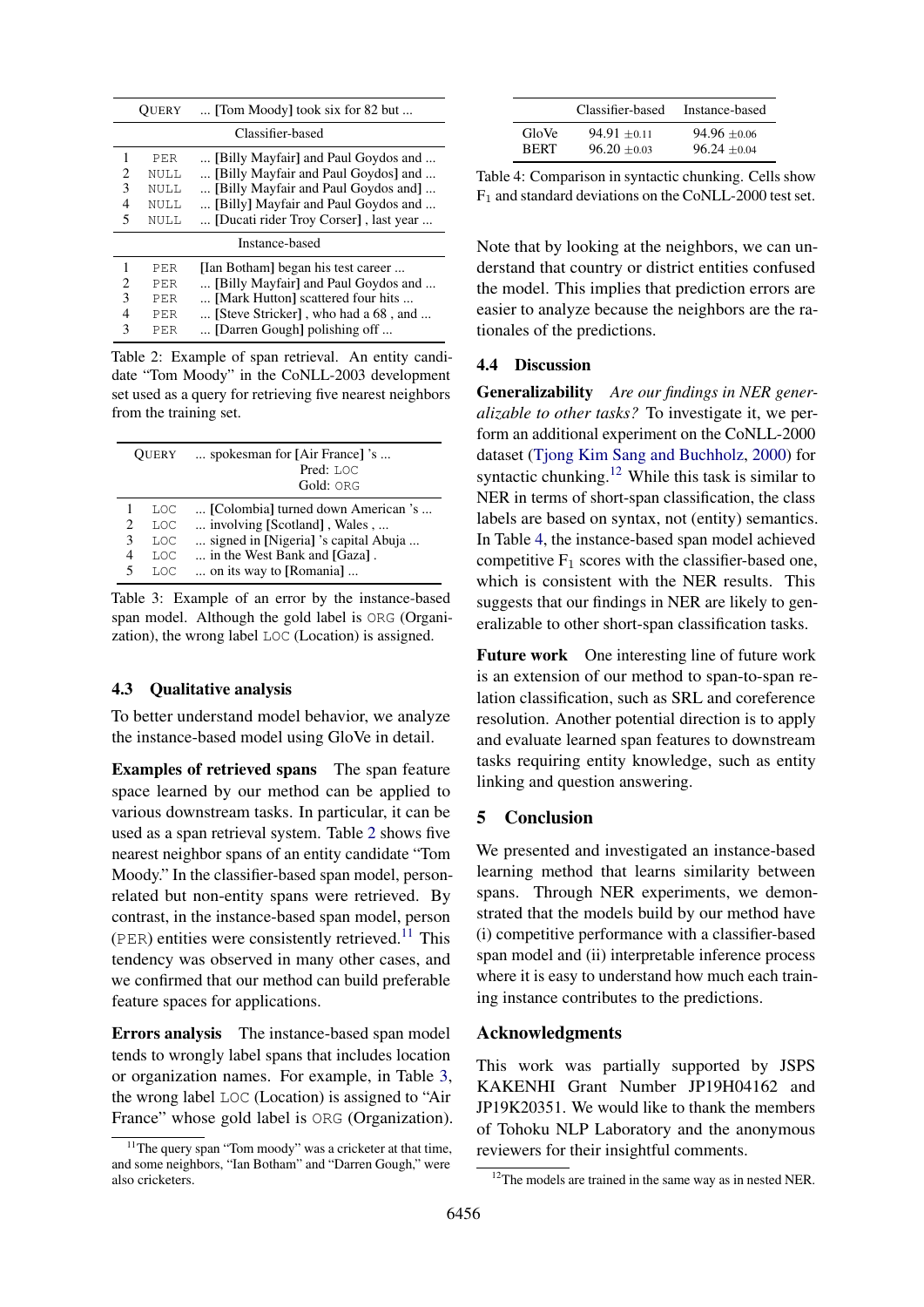<span id="page-4-0"></span>

|                             | [Tom Moody] took six for 82 but<br>OUERY |                                       |  |  |
|-----------------------------|------------------------------------------|---------------------------------------|--|--|
| Classifier-based            |                                          |                                       |  |  |
| 1                           | PER                                      | [Billy Mayfair] and Paul Goydos and   |  |  |
| $\mathcal{D}_{\mathcal{L}}$ | NULL.                                    | [Billy Mayfair and Paul Goydos] and   |  |  |
| 3                           | NULL.                                    | [Billy Mayfair and Paul Goydos and]   |  |  |
| 4                           | <b>NULL</b>                              | [Billy] Mayfair and Paul Goydos and   |  |  |
| 5                           | NULL.                                    | [Ducati rider Troy Corser], last year |  |  |
| Instance-based              |                                          |                                       |  |  |
| 1                           | PER                                      | [Ian Botham] began his test career    |  |  |
| 2                           | PER                                      | [Billy Mayfair] and Paul Goydos and   |  |  |
| 3                           | PER                                      | [Mark Hutton] scattered four hits     |  |  |
| 4                           | PER                                      | [Steve Stricker], who had a 68, and   |  |  |
| 3                           | <b>PER</b>                               | [Darren Gough] polishing off          |  |  |

Table 2: Example of span retrieval. An entity candidate "Tom Moody" in the CoNLL-2003 development set used as a query for retrieving five nearest neighbors from the training set.

<span id="page-4-2"></span>

|             | <b>OUERY</b>                                              | spokesman for [Air France] 's<br>Pred: LOC<br>Gold: ORG                                                                                                               |
|-------------|-----------------------------------------------------------|-----------------------------------------------------------------------------------------------------------------------------------------------------------------------|
| 2<br>3<br>5 | T.OC<br><b>T.OC</b><br><b>T.OC</b><br><b>T.OC</b><br>T.OC | [Colombia] turned down American 's<br>involving [Scotland], Wales,<br>signed in [Nigeria] 's capital Abuja<br>in the West Bank and [Gaza].<br>on its way to [Romania] |

Table 3: Example of an error by the instance-based span model. Although the gold label is ORG (Organization), the wrong label LOC (Location) is assigned.

# 4.3 Qualitative analysis

To better understand model behavior, we analyze the instance-based model using GloVe in detail.

Examples of retrieved spans The span feature space learned by our method can be applied to various downstream tasks. In particular, it can be used as a span retrieval system. Table [2](#page-4-0) shows five nearest neighbor spans of an entity candidate "Tom Moody." In the classifier-based span model, personrelated but non-entity spans were retrieved. By contrast, in the instance-based span model, person  $(PER)$  entities were consistently retrieved.<sup>[11](#page-4-1)</sup> This tendency was observed in many other cases, and we confirmed that our method can build preferable feature spaces for applications.

Errors analysis The instance-based span model tends to wrongly label spans that includes location or organization names. For example, in Table [3,](#page-4-2) the wrong label LOC (Location) is assigned to "Air France" whose gold label is ORG (Organization).

<span id="page-4-4"></span>

|             | Classifier-based | Instance-based |
|-------------|------------------|----------------|
| GloVe       | $94.91 + 0.11$   | $94.96 + 0.06$ |
| <b>RERT</b> | $96.20 + 0.03$   | $96.24 + 0.04$ |

Table 4: Comparison in syntactic chunking. Cells show  $F_1$  and standard deviations on the CoNLL-2000 test set.

Note that by looking at the neighbors, we can understand that country or district entities confused the model. This implies that prediction errors are easier to analyze because the neighbors are the rationales of the predictions.

# 4.4 Discussion

Generalizability *Are our findings in NER generalizable to other tasks?* To investigate it, we perform an additional experiment on the CoNLL-2000 dataset [\(Tjong Kim Sang and Buchholz,](#page-6-15) [2000\)](#page-6-15) for syntactic chunking.<sup>[12](#page-4-3)</sup> While this task is similar to NER in terms of short-span classification, the class labels are based on syntax, not (entity) semantics. In Table [4,](#page-4-4) the instance-based span model achieved competitive  $F_1$  scores with the classifier-based one, which is consistent with the NER results. This suggests that our findings in NER are likely to generalizable to other short-span classification tasks.

Future work One interesting line of future work is an extension of our method to span-to-span relation classification, such as SRL and coreference resolution. Another potential direction is to apply and evaluate learned span features to downstream tasks requiring entity knowledge, such as entity linking and question answering.

# 5 Conclusion

We presented and investigated an instance-based learning method that learns similarity between spans. Through NER experiments, we demonstrated that the models build by our method have (i) competitive performance with a classifier-based span model and (ii) interpretable inference process where it is easy to understand how much each training instance contributes to the predictions.

# Acknowledgments

This work was partially supported by JSPS KAKENHI Grant Number JP19H04162 and JP19K20351. We would like to thank the members of Tohoku NLP Laboratory and the anonymous reviewers for their insightful comments.

<span id="page-4-1"></span> $11$ The query span "Tom moody" was a cricketer at that time, and some neighbors, "Ian Botham" and "Darren Gough," were also cricketers.

<span id="page-4-3"></span> $12$ The models are trained in the same way as in nested NER.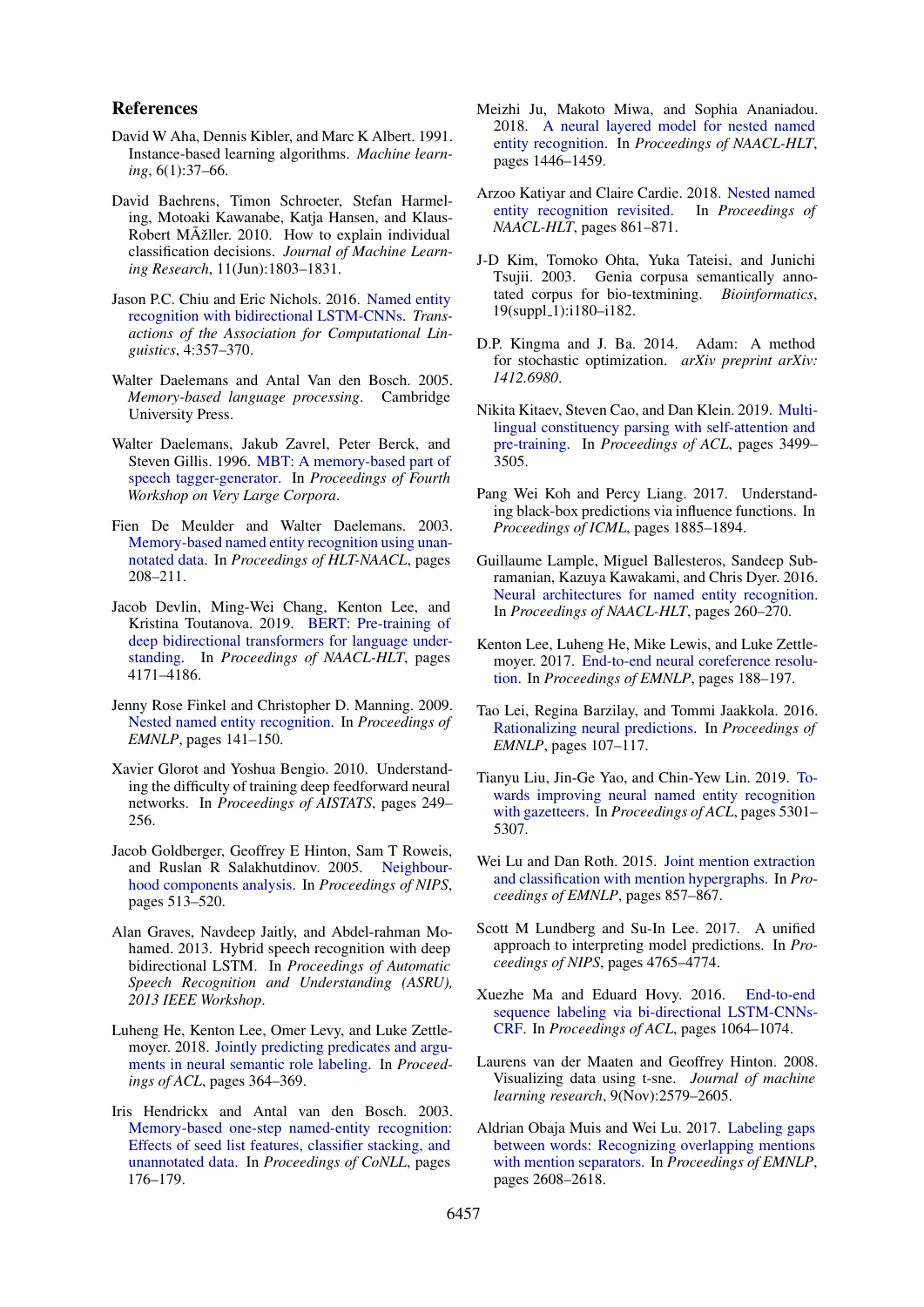### References

- <span id="page-5-1"></span>David W Aha, Dennis Kibler, and Marc K Albert. 1991. Instance-based learning algorithms. *Machine learning*, 6(1):37–66.
- <span id="page-5-2"></span>David Baehrens, Timon Schroeter, Stefan Harmeling, Motoaki Kawanabe, Katia Hansen, and Klaus-Robert MÞller. 2010. How to explain individual classification decisions. *Journal of Machine Learning Research*, 11(Jun):1803–1831.
- <span id="page-5-14"></span>Jason P.C. Chiu and Eric Nichols. 2016. [Named entity](https://doi.org/10.1162/tacl_a_00104) [recognition with bidirectional LSTM-CNNs.](https://doi.org/10.1162/tacl_a_00104) *Transactions of the Association for Computational Linguistics*, 4:357–370.
- <span id="page-5-8"></span>Walter Daelemans and Antal Van den Bosch. 2005. *Memory-based language processing*. Cambridge University Press.
- <span id="page-5-9"></span>Walter Daelemans, Jakub Zavrel, Peter Berck, and Steven Gillis. 1996. [MBT: A memory-based part of](https://www.aclweb.org/anthology/W96-0102) [speech tagger-generator.](https://www.aclweb.org/anthology/W96-0102) In *Proceedings of Fourth Workshop on Very Large Corpora*.
- <span id="page-5-10"></span>Fien De Meulder and Walter Daelemans. 2003. [Memory-based named entity recognition using unan](https://www.aclweb.org/anthology/W03-0435)[notated data.](https://www.aclweb.org/anthology/W03-0435) In *Proceedings of HLT-NAACL*, pages 208–211.
- <span id="page-5-23"></span>Jacob Devlin, Ming-Wei Chang, Kenton Lee, and Kristina Toutanova. 2019. [BERT: Pre-training of](https://doi.org/10.18653/v1/N19-1423) [deep bidirectional transformers for language under](https://doi.org/10.18653/v1/N19-1423)[standing.](https://doi.org/10.18653/v1/N19-1423) In *Proceedings of NAACL-HLT*, pages 4171–4186.
- <span id="page-5-15"></span>Jenny Rose Finkel and Christopher D. Manning. 2009. [Nested named entity recognition.](https://www.aclweb.org/anthology/D09-1015) In *Proceedings of EMNLP*, pages 141–150.
- <span id="page-5-25"></span>Xavier Glorot and Yoshua Bengio. 2010. Understanding the difficulty of training deep feedforward neural networks. In *Proceedings of AISTATS*, pages 249– 256.
- <span id="page-5-21"></span>Jacob Goldberger, Geoffrey E Hinton, Sam T Roweis, and Ruslan R Salakhutdinov. 2005. [Neighbour](https://www.cs.toronto.edu/~hinton/absps/nca.pdf)[hood components analysis.](https://www.cs.toronto.edu/~hinton/absps/nca.pdf) In *Proceedings of NIPS*, pages 513–520.
- <span id="page-5-24"></span>Alan Graves, Navdeep Jaitly, and Abdel-rahman Mohamed. 2013. Hybrid speech recognition with deep bidirectional LSTM. In *Proceedings of Automatic Speech Recognition and Understanding (ASRU), 2013 IEEE Workshop*.
- <span id="page-5-4"></span>Luheng He, Kenton Lee, Omer Levy, and Luke Zettlemoyer. 2018. [Jointly predicting predicates and argu](https://doi.org/10.18653/v1/P18-2058)[ments in neural semantic role labeling.](https://doi.org/10.18653/v1/P18-2058) In *Proceedings of ACL*, pages 364–369.
- <span id="page-5-11"></span>Iris Hendrickx and Antal van den Bosch. 2003. [Memory-based one-step named-entity recognition:](https://www.aclweb.org/anthology/W03-0427) [Effects of seed list features, classifier stacking, and](https://www.aclweb.org/anthology/W03-0427) [unannotated data.](https://www.aclweb.org/anthology/W03-0427) In *Proceedings of CoNLL*, pages 176–179.
- <span id="page-5-17"></span>Meizhi Ju, Makoto Miwa, and Sophia Ananiadou. 2018. [A neural layered model for nested named](https://doi.org/10.18653/v1/N18-1131) [entity recognition.](https://doi.org/10.18653/v1/N18-1131) In *Proceedings of NAACL-HLT*, pages 1446–1459.
- <span id="page-5-20"></span>Arzoo Katiyar and Claire Cardie. 2018. [Nested named](https://doi.org/10.18653/v1/N18-1079) [entity recognition revisited.](https://doi.org/10.18653/v1/N18-1079) In *Proceedings of NAACL-HLT*, pages 861–871.
- <span id="page-5-22"></span>J-D Kim, Tomoko Ohta, Yuka Tateisi, and Junichi Tsujii. 2003. Genia corpusa semantically annotated corpus for bio-textmining. *Bioinformatics*, 19(suppl\_1):i180-i182.
- <span id="page-5-26"></span>D.P. Kingma and J. Ba. 2014. Adam: A method for stochastic optimization. *arXiv preprint arXiv: 1412.6980*.
- <span id="page-5-3"></span>Nikita Kitaev, Steven Cao, and Dan Klein. 2019. [Multi](https://www.aclweb.org/anthology/P19-1340)[lingual constituency parsing with self-attention and](https://www.aclweb.org/anthology/P19-1340) [pre-training.](https://www.aclweb.org/anthology/P19-1340) In *Proceedings of ACL*, pages 3499– 3505.
- <span id="page-5-7"></span>Pang Wei Koh and Percy Liang. 2017. Understanding black-box predictions via influence functions. In *Proceedings of ICML*, pages 1885–1894.
- <span id="page-5-12"></span>Guillaume Lample, Miguel Ballesteros, Sandeep Subramanian, Kazuya Kawakami, and Chris Dyer. 2016. [Neural architectures for named entity recognition.](https://www.aclweb.org/anthology/N16-1030) In *Proceedings of NAACL-HLT*, pages 260–270.
- <span id="page-5-5"></span>Kenton Lee, Luheng He, Mike Lewis, and Luke Zettlemoyer. 2017. [End-to-end neural coreference resolu](https://doi.org/10.18653/v1/D17-1018)[tion.](https://doi.org/10.18653/v1/D17-1018) In *Proceedings of EMNLP*, pages 188–197.
- <span id="page-5-0"></span>Tao Lei, Regina Barzilay, and Tommi Jaakkola. 2016. [Rationalizing neural predictions.](https://doi.org/10.18653/v1/D16-1011) In *Proceedings of EMNLP*, pages 107–117.
- <span id="page-5-16"></span>Tianyu Liu, Jin-Ge Yao, and Chin-Yew Lin. 2019. [To](https://doi.org/10.18653/v1/P19-1524)[wards improving neural named entity recognition](https://doi.org/10.18653/v1/P19-1524) [with gazetteers.](https://doi.org/10.18653/v1/P19-1524) In *Proceedings of ACL*, pages 5301– 5307.
- <span id="page-5-18"></span>Wei Lu and Dan Roth. 2015. [Joint mention extraction](https://doi.org/10.18653/v1/D15-1102) [and classification with mention hypergraphs.](https://doi.org/10.18653/v1/D15-1102) In *Proceedings of EMNLP*, pages 857–867.
- <span id="page-5-6"></span>Scott M Lundberg and Su-In Lee. 2017. A unified approach to interpreting model predictions. In *Proceedings of NIPS*, pages 4765–4774.
- <span id="page-5-13"></span>Xuezhe Ma and Eduard Hovy. 2016. [End-to-end](https://doi.org/10.18653/v1/P16-1101) [sequence labeling via bi-directional LSTM-CNNs-](https://doi.org/10.18653/v1/P16-1101)[CRF.](https://doi.org/10.18653/v1/P16-1101) In *Proceedings of ACL*, pages 1064–1074.
- <span id="page-5-27"></span>Laurens van der Maaten and Geoffrey Hinton. 2008. Visualizing data using t-sne. *Journal of machine learning research*, 9(Nov):2579–2605.
- <span id="page-5-19"></span>Aldrian Obaja Muis and Wei Lu. 2017. [Labeling gaps](https://doi.org/10.18653/v1/D17-1276) [between words: Recognizing overlapping mentions](https://doi.org/10.18653/v1/D17-1276) [with mention separators.](https://doi.org/10.18653/v1/D17-1276) In *Proceedings of EMNLP*, pages 2608–2618.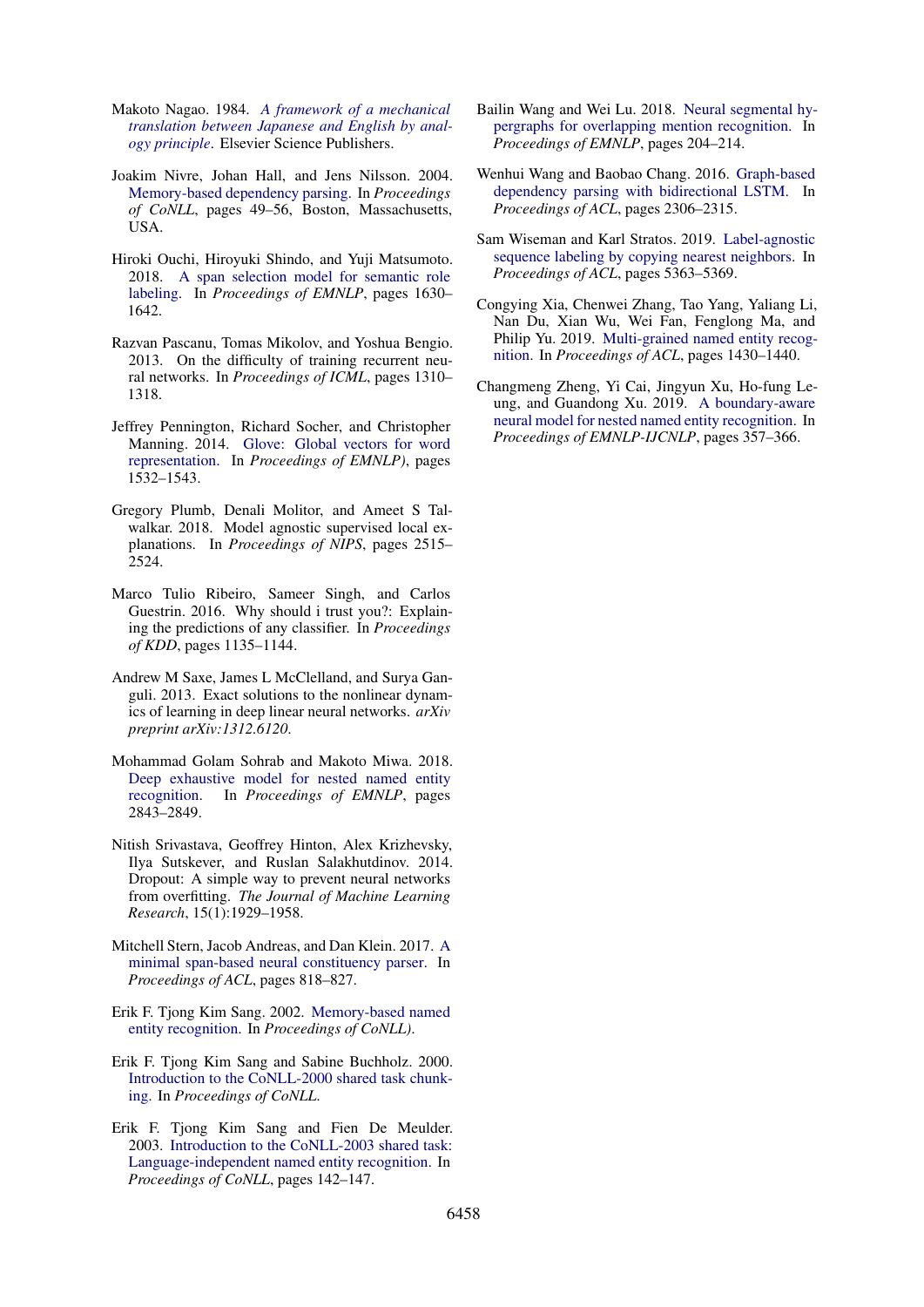- <span id="page-6-7"></span>Makoto Nagao. 1984. *[A framework of a mechanical](http://www.mt-archive.info/Nagao-1984.pdf) [translation between Japanese and English by anal](http://www.mt-archive.info/Nagao-1984.pdf)[ogy principle](http://www.mt-archive.info/Nagao-1984.pdf)*. Elsevier Science Publishers.
- <span id="page-6-6"></span>Joakim Nivre, Johan Hall, and Jens Nilsson. 2004. [Memory-based dependency parsing.](https://www.aclweb.org/anthology/W04-2407) In *Proceedings of CoNLL*, pages 49–56, Boston, Massachusetts, USA.
- <span id="page-6-5"></span>Hiroki Ouchi, Hiroyuki Shindo, and Yuji Matsumoto. 2018. [A span selection model for semantic role](https://www.aclweb.org/anthology/D18-1191) [labeling.](https://www.aclweb.org/anthology/D18-1191) In *Proceedings of EMNLP*, pages 1630– 1642.
- <span id="page-6-18"></span>Razvan Pascanu, Tomas Mikolov, and Yoshua Bengio. 2013. On the difficulty of training recurrent neural networks. In *Proceedings of ICML*, pages 1310– 1318.
- <span id="page-6-14"></span>Jeffrey Pennington, Richard Socher, and Christopher Manning. 2014. [Glove: Global vectors for word](https://doi.org/10.3115/v1/D14-1162) [representation.](https://doi.org/10.3115/v1/D14-1162) In *Proceedings of EMNLP)*, pages 1532–1543.
- <span id="page-6-1"></span>Gregory Plumb, Denali Molitor, and Ameet S Talwalkar. 2018. Model agnostic supervised local explanations. In *Proceedings of NIPS*, pages 2515– 2524.
- <span id="page-6-0"></span>Marco Tulio Ribeiro, Sameer Singh, and Carlos Guestrin. 2016. Why should i trust you?: Explaining the predictions of any classifier. In *Proceedings of KDD*, pages 1135–1144.
- <span id="page-6-16"></span>Andrew M Saxe, James L McClelland, and Surya Ganguli. 2013. Exact solutions to the nonlinear dynamics of learning in deep linear neural networks. *arXiv preprint arXiv:1312.6120*.
- <span id="page-6-2"></span>Mohammad Golam Sohrab and Makoto Miwa. 2018. [Deep exhaustive model for nested named entity](https://doi.org/10.18653/v1/D18-1309) [recognition.](https://doi.org/10.18653/v1/D18-1309) In *Proceedings of EMNLP*, pages 2843–2849.
- <span id="page-6-17"></span>Nitish Srivastava, Geoffrey Hinton, Alex Krizhevsky, Ilya Sutskever, and Ruslan Salakhutdinov. 2014. Dropout: A simple way to prevent neural networks from overfitting. *The Journal of Machine Learning Research*, 15(1):1929–1958.
- <span id="page-6-4"></span>Mitchell Stern, Jacob Andreas, and Dan Klein. 2017. [A](https://doi.org/10.18653/v1/P17-1076) [minimal span-based neural constituency parser.](https://doi.org/10.18653/v1/P17-1076) In *Proceedings of ACL*, pages 818–827.
- <span id="page-6-8"></span>Erik F. Tjong Kim Sang. 2002. [Memory-based named](https://www.aclweb.org/anthology/W02-2025) [entity recognition.](https://www.aclweb.org/anthology/W02-2025) In *Proceedings of CoNLL)*.
- <span id="page-6-15"></span>Erik F. Tjong Kim Sang and Sabine Buchholz. 2000. [Introduction to the CoNLL-2000 shared task chunk](https://www.aclweb.org/anthology/W00-0726)[ing.](https://www.aclweb.org/anthology/W00-0726) In *Proceedings of CoNLL*.
- <span id="page-6-12"></span>Erik F. Tjong Kim Sang and Fien De Meulder. 2003. [Introduction to the CoNLL-2003 shared task:](https://www.aclweb.org/anthology/W03-0419) [Language-independent named entity recognition.](https://www.aclweb.org/anthology/W03-0419) In *Proceedings of CoNLL*, pages 142–147.
- <span id="page-6-11"></span>Bailin Wang and Wei Lu. 2018. [Neural segmental hy](https://doi.org/10.18653/v1/D18-1019)[pergraphs for overlapping mention recognition.](https://doi.org/10.18653/v1/D18-1019) In *Proceedings of EMNLP*, pages 204–214.
- <span id="page-6-13"></span>Wenhui Wang and Baobao Chang. 2016. [Graph-based](https://doi.org/10.18653/v1/P16-1218) [dependency parsing with bidirectional LSTM.](https://doi.org/10.18653/v1/P16-1218) In *Proceedings of ACL*, pages 2306–2315.
- <span id="page-6-9"></span>Sam Wiseman and Karl Stratos. 2019. [Label-agnostic](https://www.aclweb.org/anthology/P19-1533) [sequence labeling by copying nearest neighbors.](https://www.aclweb.org/anthology/P19-1533) In *Proceedings of ACL*, pages 5363–5369.
- <span id="page-6-3"></span>Congying Xia, Chenwei Zhang, Tao Yang, Yaliang Li, Nan Du, Xian Wu, Wei Fan, Fenglong Ma, and Philip Yu. 2019. [Multi-grained named entity recog](https://doi.org/10.18653/v1/P19-1138)[nition.](https://doi.org/10.18653/v1/P19-1138) In *Proceedings of ACL*, pages 1430–1440.
- <span id="page-6-10"></span>Changmeng Zheng, Yi Cai, Jingyun Xu, Ho-fung Leung, and Guandong Xu. 2019. [A boundary-aware](https://doi.org/10.18653/v1/D19-1034) [neural model for nested named entity recognition.](https://doi.org/10.18653/v1/D19-1034) In *Proceedings of EMNLP-IJCNLP*, pages 357–366.